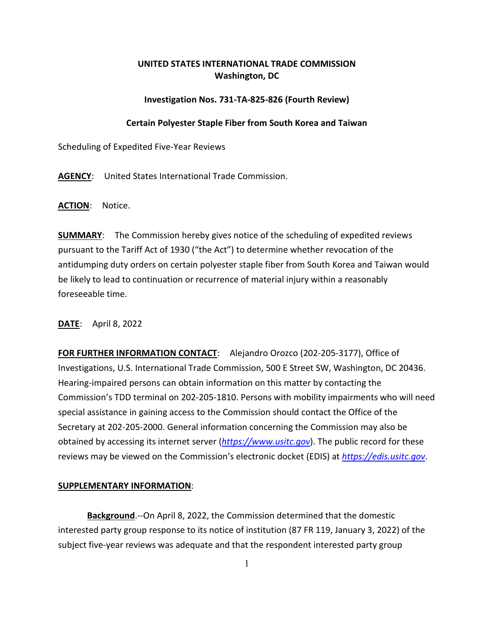## **UNITED STATES INTERNATIONAL TRADE COMMISSION Washington, DC**

## **Investigation Nos. 731-TA-825-826 (Fourth Review)**

## **Certain Polyester Staple Fiber from South Korea and Taiwan**

Scheduling of Expedited Five-Year Reviews

**AGENCY**: United States International Trade Commission.

**ACTION**: Notice.

**SUMMARY**: The Commission hereby gives notice of the scheduling of expedited reviews pursuant to the Tariff Act of 1930 ("the Act") to determine whether revocation of the antidumping duty orders on certain polyester staple fiber from South Korea and Taiwan would be likely to lead to continuation or recurrence of material injury within a reasonably foreseeable time.

**DATE**: April 8, 2022

**FOR FURTHER INFORMATION CONTACT**: Alejandro Orozco (202-205-3177), Office of Investigations, U.S. International Trade Commission, 500 E Street SW, Washington, DC 20436. Hearing-impaired persons can obtain information on this matter by contacting the Commission's TDD terminal on 202-205-1810. Persons with mobility impairments who will need special assistance in gaining access to the Commission should contact the Office of the Secretary at 202-205-2000. General information concerning the Commission may also be obtained by accessing its internet server (*[https://www.usitc.gov](https://www.usitc.gov/)*). The public record for these reviews may be viewed on the Commission's electronic docket (EDIS) at *[https://edis.usitc.gov](https://edis.usitc.gov/)*.

## **SUPPLEMENTARY INFORMATION**:

**Background**.--On April 8, 2022, the Commission determined that the domestic interested party group response to its notice of institution (87 FR 119, January 3, 2022) of the subject five-year reviews was adequate and that the respondent interested party group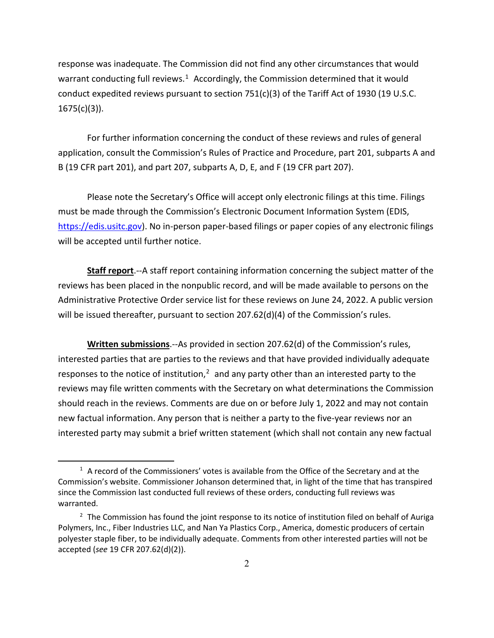response was inadequate. The Commission did not find any other circumstances that would warrant conducting full reviews.<sup>[1](#page-1-0)</sup> Accordingly, the Commission determined that it would conduct expedited reviews pursuant to section  $751(c)(3)$  of the Tariff Act of 1930 (19 U.S.C.  $1675(c)(3)$ ).

For further information concerning the conduct of these reviews and rules of general application, consult the Commission's Rules of Practice and Procedure, part 201, subparts A and B (19 CFR part 201), and part 207, subparts A, D, E, and F (19 CFR part 207).

Please note the Secretary's Office will accept only electronic filings at this time. Filings must be made through the Commission's Electronic Document Information System (EDIS, [https://edis.usitc.gov\)](https://edis.usitc.gov/). No in-person paper-based filings or paper copies of any electronic filings will be accepted until further notice.

**Staff report**.--A staff report containing information concerning the subject matter of the reviews has been placed in the nonpublic record, and will be made available to persons on the Administrative Protective Order service list for these reviews on June 24, 2022. A public version will be issued thereafter, pursuant to section 207.62(d)(4) of the Commission's rules.

**Written submissions**.--As provided in section 207.62(d) of the Commission's rules, interested parties that are parties to the reviews and that have provided individually adequate responses to the notice of institution, $<sup>2</sup>$  $<sup>2</sup>$  $<sup>2</sup>$  and any party other than an interested party to the</sup> reviews may file written comments with the Secretary on what determinations the Commission should reach in the reviews. Comments are due on or before July 1, 2022 and may not contain new factual information. Any person that is neither a party to the five-year reviews nor an interested party may submit a brief written statement (which shall not contain any new factual

<span id="page-1-0"></span> $1$  A record of the Commissioners' votes is available from the Office of the Secretary and at the Commission's website. Commissioner Johanson determined that, in light of the time that has transpired since the Commission last conducted full reviews of these orders, conducting full reviews was warranted.

<span id="page-1-1"></span> $2$  The Commission has found the joint response to its notice of institution filed on behalf of Auriga Polymers, Inc., Fiber Industries LLC, and Nan Ya Plastics Corp., America, domestic producers of certain polyester staple fiber, to be individually adequate. Comments from other interested parties will not be accepted (*see* 19 CFR 207.62(d)(2)).